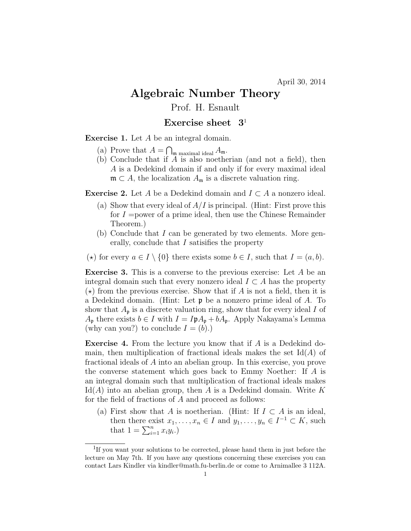## Algebraic Number Theory

Prof. H. Esnault

## Exercise sheet  $3<sup>1</sup>$

Exercise 1. Let A be an integral domain.

- (a) Prove that  $A = \bigcap_{\mathfrak{m} \text{ maximal ideal}} A_{\mathfrak{m}}$ .
- (b) Conclude that if A is also noetherian (and not a field), then A is a Dedekind domain if and only if for every maximal ideal  $\mathfrak{m} \subset A$ , the localization  $A_{\mathfrak{m}}$  is a discrete valuation ring.

**Exercise 2.** Let A be a Dedekind domain and  $I \subset A$  a nonzero ideal.

- (a) Show that every ideal of  $A/I$  is principal. (Hint: First prove this for  $I =$ power of a prime ideal, then use the Chinese Remainder Theorem.)
- (b) Conclude that I can be generated by two elements. More generally, conclude that I satisifies the property
- ( $\star$ ) for every  $a \in I \setminus \{0\}$  there exists some  $b \in I$ , such that  $I = (a, b)$ .

**Exercise 3.** This is a converse to the previous exercise: Let  $A$  be an integral domain such that every nonzero ideal  $I \subset A$  has the property  $(\star)$  from the previous exercise. Show that if A is not a field, then it is a Dedekind domain. (Hint: Let p be a nonzero prime ideal of A. To show that  $A_{\mathfrak{p}}$  is a discrete valuation ring, show that for every ideal I of  $A_{\mathfrak{p}}$  there exists  $b \in I$  with  $I = I \mathfrak{p} A_{\mathfrak{p}} + b A_{\mathfrak{p}}$ . Apply Nakayama's Lemma (why can you?) to conclude  $I = (b)$ .)

Exercise 4. From the lecture you know that if A is a Dedekind domain, then multiplication of fractional ideals makes the set  $\text{Id}(A)$  of fractional ideals of A into an abelian group. In this exercise, you prove the converse statement which goes back to Emmy Noether: If A is an integral domain such that multiplication of fractional ideals makes  $\text{Id}(A)$  into an abelian group, then A is a Dedekind domain. Write K for the field of fractions of A and proceed as follows:

(a) First show that A is noetherian. (Hint: If  $I \subset A$  is an ideal, then there exist  $x_1, \ldots, x_n \in I$  and  $y_1, \ldots, y_n \in I^{-1} \subset K$ , such that  $1 = \sum_{i=1}^n x_i y_i$ .

<sup>&</sup>lt;sup>1</sup>If you want your solutions to be corrected, please hand them in just before the lecture on May 7th. If you have any questions concerning these exercises you can contact Lars Kindler via kindler@math.fu-berlin.de or come to Arnimallee 3 112A.